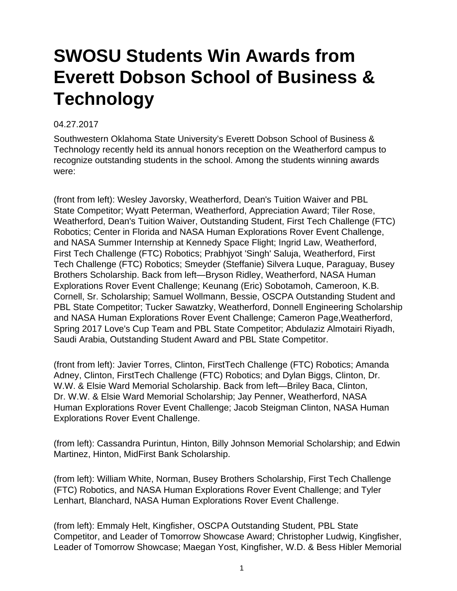## **SWOSU Students Win Awards from Everett Dobson School of Business & Technology**

## 04.27.2017

Southwestern Oklahoma State University's Everett Dobson School of Business & Technology recently held its annual honors reception on the Weatherford campus to recognize outstanding students in the school. Among the students winning awards were:

(front from left): Wesley Javorsky, Weatherford, Dean's Tuition Waiver and PBL State Competitor; Wyatt Peterman, Weatherford, Appreciation Award; Tiler Rose, Weatherford, Dean's Tuition Waiver, Outstanding Student, First Tech Challenge (FTC) Robotics; Center in Florida and NASA Human Explorations Rover Event Challenge, and NASA Summer Internship at Kennedy Space Flight; Ingrid Law, Weatherford, First Tech Challenge (FTC) Robotics; Prabhjyot 'Singh' Saluja, Weatherford, First Tech Challenge (FTC) Robotics; Smeyder (Steffanie) Silvera Luque, Paraguay, Busey Brothers Scholarship. Back from left—Bryson Ridley, Weatherford, NASA Human Explorations Rover Event Challenge; Keunang (Eric) Sobotamoh, Cameroon, K.B. Cornell, Sr. Scholarship; Samuel Wollmann, Bessie, OSCPA Outstanding Student and PBL State Competitor; Tucker Sawatzky, Weatherford, Donnell Engineering Scholarship and NASA Human Explorations Rover Event Challenge; Cameron Page,Weatherford, Spring 2017 Love's Cup Team and PBL State Competitor; Abdulaziz Almotairi Riyadh, Saudi Arabia, Outstanding Student Award and PBL State Competitor.

(front from left): Javier Torres, Clinton, FirstTech Challenge (FTC) Robotics; Amanda Adney, Clinton, FirstTech Challenge (FTC) Robotics; and Dylan Biggs, Clinton, Dr. W.W. & Elsie Ward Memorial Scholarship. Back from left—Briley Baca, Clinton, Dr. W.W. & Elsie Ward Memorial Scholarship; Jay Penner, Weatherford, NASA Human Explorations Rover Event Challenge; Jacob Steigman Clinton, NASA Human Explorations Rover Event Challenge.

(from left): Cassandra Purintun, Hinton, Billy Johnson Memorial Scholarship; and Edwin Martinez, Hinton, MidFirst Bank Scholarship.

(from left): William White, Norman, Busey Brothers Scholarship, First Tech Challenge (FTC) Robotics, and NASA Human Explorations Rover Event Challenge; and Tyler Lenhart, Blanchard, NASA Human Explorations Rover Event Challenge.

(from left): Emmaly Helt, Kingfisher, OSCPA Outstanding Student, PBL State Competitor, and Leader of Tomorrow Showcase Award; Christopher Ludwig, Kingfisher, Leader of Tomorrow Showcase; Maegan Yost, Kingfisher, W.D. & Bess Hibler Memorial